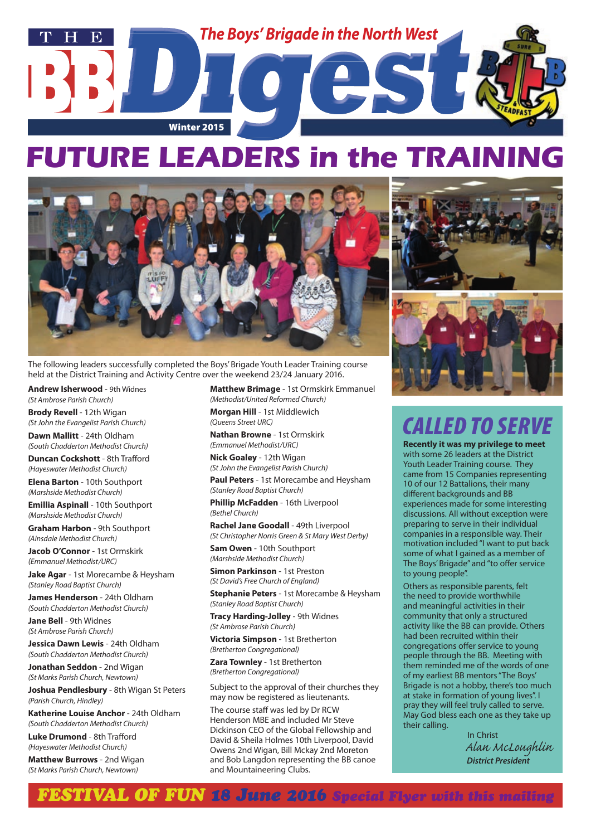

# **FUTURE LEADERS in the TRAINING**



The following leaders successfully completed the Boys' Brigade Youth Leader Training course held at the District Training and Activity Centre over the weekend 23/24 January 2016.

**Andrew Isherwood** - 9th Widnes *(St Ambrose Parish Church)*

**Brody Revell** - 12th Wigan *(St John the Evangelist Parish Church)*

**Dawn Mallitt** - 24th Oldham *(South Chadderton Methodist Church)* **Duncan Cockshott** - 8th Trafford

*(Hayeswater Methodist Church)*

**Elena Barton** - 10th Southport *(Marshside Methodist Church)*

**Emillia Aspinall** - 10th Southport *(Marshside Methodist Church)*

**Graham Harbon** - 9th Southport *(Ainsdale Methodist Church)*

**Jacob O'Connor** - 1st Ormskirk *(Emmanuel Methodist/URC)*

**Jake Agar** - 1st Morecambe & Heysham *(Stanley Road Baptist Church)*

**James Henderson** - 24th Oldham *(South Chadderton Methodist Church)*

**Jane Bell** - 9th Widnes *(St Ambrose Parish Church)*

**Jessica Dawn Lewis** - 24th Oldham *(South Chadderton Methodist Church)*

**Jonathan Seddon** - 2nd Wigan *(St Marks Parish Church, Newtown)* 

**Joshua Pendlesbury** - 8th Wigan St Peters *(Parish Church, Hindley)*

**Katherine Louise Anchor** - 24th Oldham *(South Chadderton Methodist Church)* **Luke Drumond** - 8th Trafford *(Hayeswater Methodist Church)*

**Matthew Burrows** - 2nd Wigan *(St Marks Parish Church, Newtown)*

**Matthew Brimage** - 1st Ormskirk Emmanuel *(Methodist/United Reformed Church)*

**Morgan Hill** - 1st Middlewich *(Queens Street URC)*

**Nathan Browne** - 1st Ormskirk *(Emmanuel Methodist/URC)*

**Nick Goaley** - 12th Wigan *(St John the Evangelist Parish Church)*

**Paul Peters** - 1st Morecambe and Heysham *(Stanley Road Baptist Church)*

**Phillip McFadden** - 16th Liverpool *(Bethel Church)*

**Rachel Jane Goodall** - 49th Liverpool *(St Christopher Norris Green & St Mary West Derby)*

**Sam Owen** - 10th Southport *(Marshside Methodist Church)*

**Simon Parkinson** - 1st Preston *(St David's Free Church of England)*

**Stephanie Peters** - 1st Morecambe & Heysham *(Stanley Road Baptist Church)*

**Tracy Harding-Jolley** - 9th Widnes *(St Ambrose Parish Church)*

**Victoria Simpson** - 1st Bretherton *(Bretherton Congregational)* 

**Zara Townley** - 1st Bretherton *(Bretherton Congregational)*

Subject to the approval of their churches they may now be registered as lieutenants.

The course staff was led by Dr RCW Henderson MBE and included Mr Steve Dickinson CEO of the Global Fellowship and David & Sheila Holmes 10th Liverpool, David Owens 2nd Wigan, Bill Mckay 2nd Moreton and Bob Langdon representing the BB canoe and Mountaineering Clubs.





## *CALLED TO SERVE*

**Recently it was my privilege to meet**  with some 26 leaders at the District Youth Leader Training course. They came from 15 Companies representing 10 of our 12 Battalions, their many different backgrounds and BB experiences made for some interesting discussions. All without exception were preparing to serve in their individual companies in a responsible way. Their motivation included "I want to put back some of what I gained as a member of The Boys' Brigade" and "to offer service to young people".

Others as responsible parents, felt the need to provide worthwhile and meaningful activities in their community that only a structured activity like the BB can provide. Others had been recruited within their congregations offer service to young people through the BB. Meeting with them reminded me of the words of one of my earliest BB mentors "The Boys' Brigade is not a hobby, there's too much at stake in formation of young lives". I pray they will feel truly called to serve. May God bless each one as they take up their calling.

 In Christ *Alan McLoughlin District President*

### *FESTIVAL OF FUN 18 June 2016 Special Flyer with this mailing*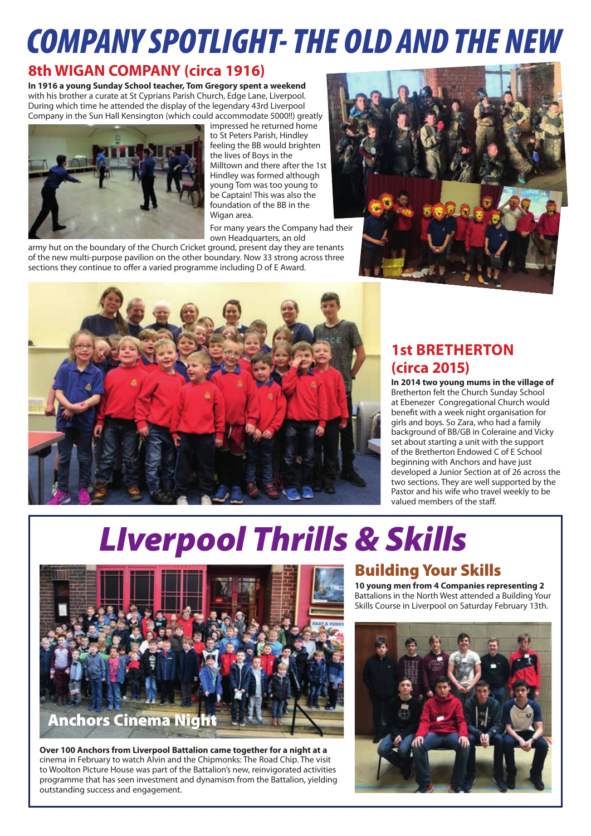## *COMPANY SPOTLIGHT- THE OLD AND THE NEW*

#### **8th WIGAN COMPANY (circa 1916)**

**In 1916 a young Sunday School teacher, Tom Gregory spent a weekend** with his brother a curate at St Cyprians Parish Church, Edge Lane, Liverpool. During which time he attended the display of the legendary 43rd Liverpool Company in the Sun Hall Kensington (which could accommodate 5000!!) greatly



impressed he returned home to St Peters Parish, Hindley feeling the BB would brighten the lives of Boys in the Milltown and there after the 1st Hindley was formed although young Tom was too young to be Captain! This was also the foundation of the BB in the Wigan area.

For many years the Company had their own Headquarters, an old

army hut on the boundary of the Church Cricket ground, present day they are tenants of the new multi-purpose pavilion on the other boundary. Now 33 strong across three sections they continue to offer a varied programme including D of E Award.





### **1st BRETHERTON (circa 2015)**

**In 2014 two young mums in the village of** Bretherton felt the Church Sunday School at Ebenezer Congregational Church would benefit with a week night organisation for girls and boys. So Zara, who had a family background of BB/GB in Coleraine and Vicky set about starting a unit with the support of the Bretherton Endowed C of E School beginning with Anchors and have just developed a Junior Section at of 26 across the two sections. They are well supported by the Pastor and his wife who travel weekly to be valued members of the staff.

## *LIverpool Thrills & Skills*



**Over 100 Anchors from Liverpool Battalion came together for a night at a** cinema in February to watch Alvin and the Chipmonks: The Road Chip. The visit to Woolton Picture House was part of the Battalion's new, reinvigorated activities programme that has seen investment and dynamism from the Battalion, yielding outstanding success and engagement.

### Building Your Skills

**10 young men from 4 Companies representing 2**  Battalions in the North West attended a Building Your Skills Course in Liverpool on Saturday February 13th.

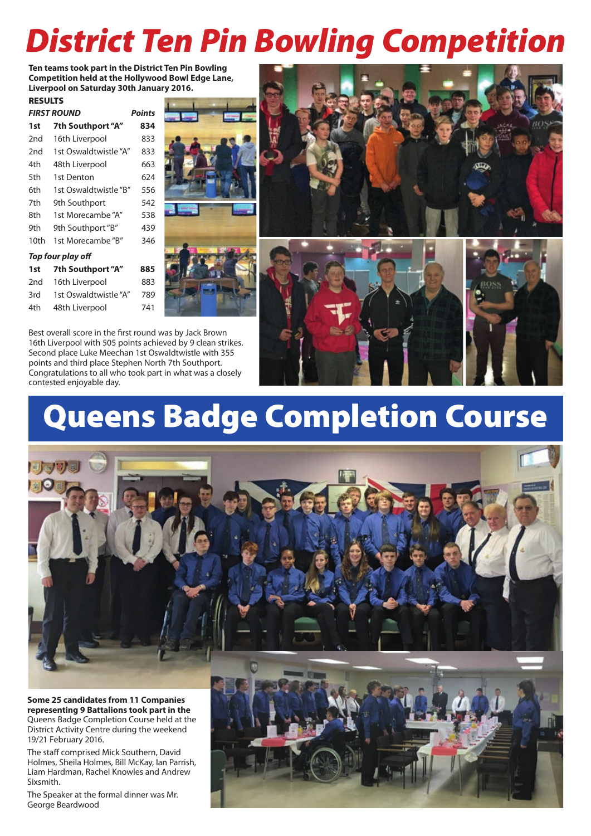## *District Ten Pin Bowling Competition*

**Ten teams took part in the District Ten Pin Bowling Competition held at the Hollywood Bowl Edge Lane, Liverpool on Saturday 30th January 2016.** 

#### **RESULTS**

| <b>FIRST ROUND</b><br><b>Points</b> |                       |     |  |  |
|-------------------------------------|-----------------------|-----|--|--|
| 1st                                 | 7th Southport "A"     | 834 |  |  |
| 2nd                                 | 16th Liverpool        | 833 |  |  |
| 2nd                                 | 1st Oswaldtwistle "A" | 833 |  |  |
| 4th                                 | 48th Liverpool        | 663 |  |  |
| 5th                                 | 1st Denton            | 624 |  |  |
| 6th                                 | 1st Oswaldtwistle "B" | 556 |  |  |
| 7th                                 | 9th Southport         | 542 |  |  |
| 8th                                 | 1st Morecambe "A"     | 538 |  |  |
| 9th                                 | 9th Southport "B"     | 439 |  |  |
| 10th                                | 1st Morecambe "B"     | 346 |  |  |
| Top four play off                   |                       |     |  |  |
| 1st                                 | 7th Southport "A"     | 885 |  |  |
| 2nd                                 | 16th Liverpool        | 883 |  |  |
| 3rd                                 | 1st Oswaldtwistle "A" | 789 |  |  |

4th 48th Liverpool 741





Best overall score in the first round was by Jack Brown 16th Liverpool with 505 points achieved by 9 clean strikes. Second place Luke Meechan 1st Oswaldtwistle with 355 points and third place Stephen North 7th Southport. Congratulations to all who took part in what was a closely contested enjoyable day.



## Queens Badge Completion Course



**Some 25 candidates from 11 Companies representing 9 Battalions took part in the** Queens Badge Completion Course held at the District Activity Centre during the weekend 19/21 February 2016.

The staff comprised Mick Southern, David Holmes, Sheila Holmes, Bill McKay, Ian Parrish, Liam Hardman, Rachel Knowles and Andrew Sixsmith.

The Speaker at the formal dinner was Mr. George Beardwood